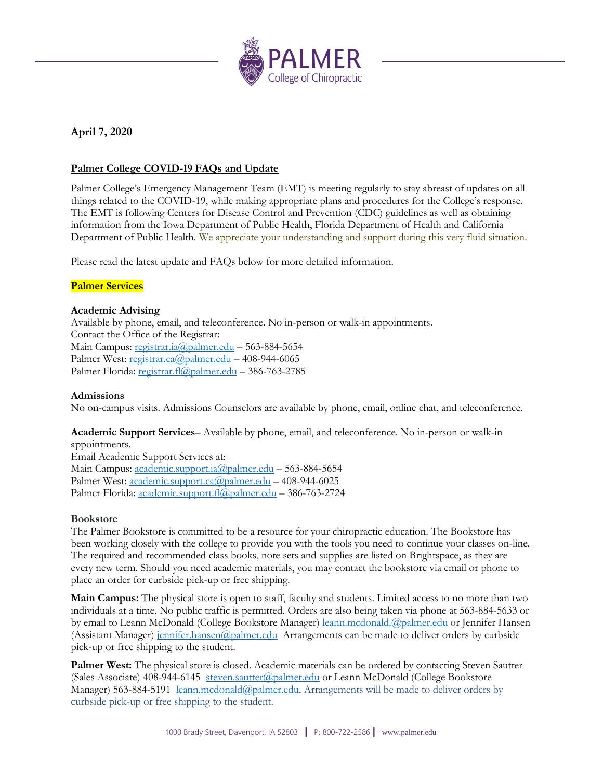

# **April 7, 2020**

# **Palmer College COVID-19 FAQs and Update**

Palmer College's Emergency Management Team (EMT) is meeting regularly to stay abreast of updates on all things related to the COVID-19, while making appropriate plans and procedures for the College's response. The EMT is following Centers for Disease Control and Prevention (CDC) guidelines as well as obtaining information from the Iowa Department of Public Health, Florida Department of Health and California Department of Public Health. We appreciate your understanding and support during this very fluid situation.

Please read the latest update and FAQs below for more detailed information.

# **Palmer Services**

## **Academic Advising**

Available by phone, email, and teleconference. No in-person or walk-in appointments. Contact the Office of the Registrar: Main Campus[: registrar.ia@palmer.edu](mailto:registrar.ia@palmer.edu) - 563-884-5654 Palmer West: [registrar.ca@palmer.edu](mailto:registrar.ca@palmer.edu) - 408-944-6065 Palmer Florida: [registrar.fl@palmer.edu](mailto:registrar.fl@palmer.edu) – 386-763-2785

## **Admissions**

No on-campus visits. Admissions Counselors are available by phone, email, online chat, and teleconference.

# **Academic Support Services**– Available by phone, email, and teleconference. No in-person or walk-in appointments.

Email Academic Support Services at: Main Campus[: academic.support.ia@palmer.edu](mailto:academic.support.ia@palmer.edu) – 563-884-5654 Palmer West: [academic.support.ca@palmer.edu](mailto:academic.support.ca@palmer.edu) – 408-944-6025 Palmer Florida: [academic.support.fl@palmer.edu](mailto:academic.support.fl@palmer.edu) – 386-763-2724

#### **Bookstore**

The Palmer Bookstore is committed to be a resource for your chiropractic education. The Bookstore has been working closely with the college to provide you with the tools you need to continue your classes on-line. The required and recommended class books, note sets and supplies are listed on Brightspace, as they are every new term. Should you need academic materials, you may contact the bookstore via email or phone to place an order for curbside pick-up or free shipping.

**Main Campus:** The physical store is open to staff, faculty and students. Limited access to no more than two individuals at a time. No public traffic is permitted. Orders are also being taken via phone at 563-884-5633 or by email to Leann McDonald (College Bookstore Manager) [leann.mcdonald.@palmer.edu](mailto:leann.mcdonald.@palmer.edu) or Jennifer Hansen (Assistant Manager) [jennifer.hansen@palmer.edu](mailto:jennifer.hansen@palmer.edu) Arrangements can be made to deliver orders by curbside pick-up or free shipping to the student.

**Palmer West:** The physical store is closed. Academic materials can be ordered by contacting Steven Sautter (Sales Associate) 408-944-6145 [steven.sautter@palmer.edu](mailto:steven.sautter@palmer.edu) or Leann McDonald (College Bookstore Manager) 563-884-5191 [leann.mcdonald@palmer.edu.](mailto:leann.mcdonald@palmer.edu) Arrangements will be made to deliver orders by curbside pick-up or free shipping to the student.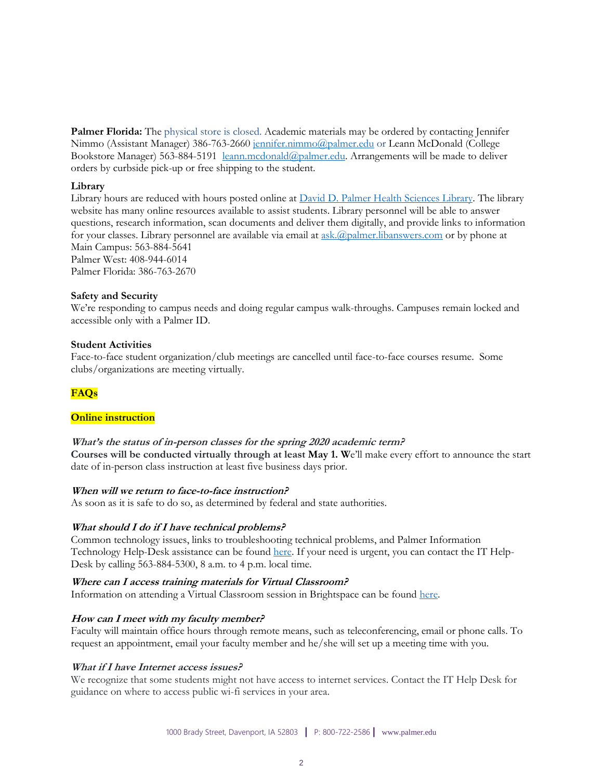**Palmer Florida:** The physical store is closed. Academic materials may be ordered by contacting Jennifer Nimmo (Assistant Manager) 386-763-2660 [jennifer.nimmo@palmer.edu](mailto:jennifer.nimmo@palmer.edu) or Leann McDonald (College Bookstore Manager) 563-884-5191 [leann.mcdonald@palmer.edu.](mailto:leann.mcdonald@palmer.edu) Arrangements will be made to deliver orders by curbside pick-up or free shipping to the student.

#### **Library**

Library hours are reduced with hours posted online at [David D. Palmer Health Sciences Library.](https://library.palmer.edu/home?_ga=2.156591099.1520181624.1586178276-1834194926.1580219158) The library website has many online resources available to assist students. Library personnel will be able to answer questions, research information, scan documents and deliver them digitally, and provide links to information for your classes. Library personnel are available via email at [ask.@palmer.libanswers.com](mailto:ask.@palmer.libanswers.com) or by phone at Main Campus: 563-884-5641 Palmer West: 408-944-6014

Palmer Florida: 386-763-2670

#### **Safety and Security**

We're responding to campus needs and doing regular campus walk-throughs. Campuses remain locked and accessible only with a Palmer ID.

#### **Student Activities**

Face-to-face student organization/club meetings are cancelled until face-to-face courses resume. Some clubs/organizations are meeting virtually.

# **FAQs**

#### **Online instruction**

**What's the status of in-person classes for the spring 2020 academic term? Courses will be conducted virtually through at least May 1. W**e'll make every effort to announce the start date of in-person class instruction at least five business days prior.

#### **When will we return to face-to-face instruction?**

As soon as it is safe to do so, as determined by federal and state authorities.

#### **What should I do if I have technical problems?**

Common technology issues, links to troubleshooting technical problems, and Palmer Information Technology Help-Desk assistance can be foun[d here.](http://palmer.service-now.com/sp) If your need is urgent, you can contact the IT Help-Desk by calling 563-884-5300, 8 a.m. to 4 p.m. local time.

#### **Where can I access training materials for Virtual Classroom?**

Information on attending a Virtual Classroom session in Brightspace can be found [here.](https://palmer.service-now.com/sp?id=kb_article&sys_id=8822c0afdbb30c10288e273605961976&table=kb_knowledge)

#### **How can I meet with my faculty member?**

Faculty will maintain office hours through remote means, such as teleconferencing, email or phone calls. To request an appointment, email your faculty member and he/she will set up a meeting time with you.

#### **What if I have Internet access issues?**

We recognize that some students might not have access to internet services. Contact the IT Help Desk for guidance on where to access public wi-fi services in your area.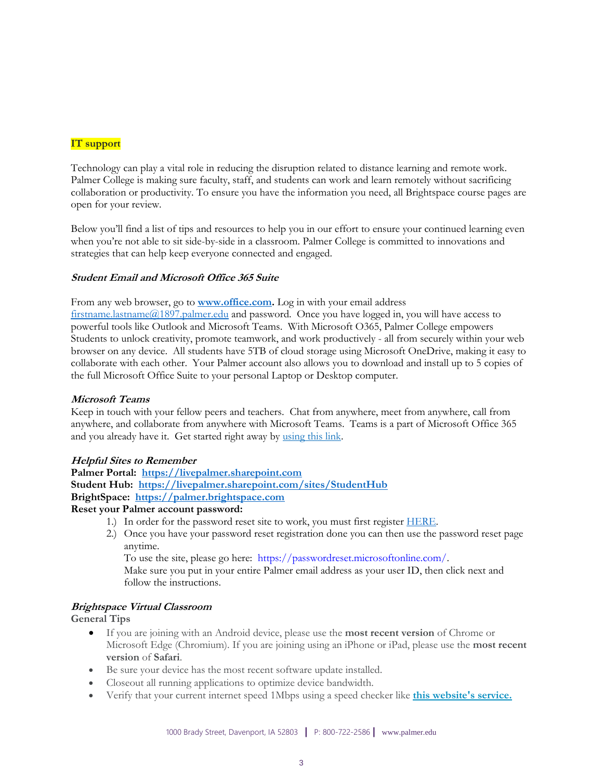# **IT support**

Technology can play a vital role in reducing the disruption related to distance learning and remote work. Palmer College is making sure faculty, staff, and students can work and learn remotely without sacrificing collaboration or productivity. To ensure you have the information you need, all Brightspace course pages are open for your review.

Below you'll find a list of tips and resources to help you in our effort to ensure your continued learning even when you're not able to sit side-by-side in a classroom. Palmer College is committed to innovations and strategies that can help keep everyone connected and engaged.

# **Student Email and Microsoft Office 365 Suite**

From any web browser, go to **[www.office.com.](http://www.office.com/)** Log in with your email address [firstname.lastname@1897.palmer.edu](mailto:firstname.lastname@1897.palmer.edu) and password. Once you have logged in, you will have access to powerful tools like Outlook and Microsoft Teams. With Microsoft O365, Palmer College empowers Students to unlock creativity, promote teamwork, and work productively - all from securely within your web browser on any device. All students have 5TB of cloud storage using Microsoft OneDrive, making it easy to collaborate with each other. Your Palmer account also allows you to download and install up to 5 copies of the full Microsoft Office Suite to your personal Laptop or Desktop computer.

#### **Microsoft Teams**

Keep in touch with your fellow peers and teachers. Chat from anywhere, meet from anywhere, call from anywhere, and collaborate from anywhere with Microsoft Teams. Teams is a part of Microsoft Office 365 and you already have it. Get started right away by [using this link.](https://go.microsoft.com/fwlink/p/?linkid=873020&lm=deeplink&lmsrc=homePageWeb&cmpid=WebSignIn)

# **Helpful Sites to Remember**

**Palmer Portal: [https://livepalmer.sharepoint.com](https://livepalmer.sharepoint.com/) Student Hub: <https://livepalmer.sharepoint.com/sites/StudentHub> BrightSpace: [https://palmer.brightspace.com](https://palmer.brightspace.com/)**

# **Reset your Palmer account password:**

- 1.) In order for the password reset site to work, you must first register [HERE.](https://account.activedirectory.windowsazure.com/passwordreset/Register.aspx)
- 2.) Once you have your password reset registration done you can then use the password reset page anytime.

To use the site, please go here: [https://passwordreset.microsoftonline.com/.](https://passwordreset.microsoftonline.com/)

Make sure you put in your entire Palmer email address as your user ID, then click next and follow the instructions.

#### **Brightspace Virtual Classroom**

# **General Tips**

- If you are joining with an Android device, please use the **most recent version** of Chrome or Microsoft Edge (Chromium). If you are joining using an iPhone or iPad, please use the **most recent version** of **Safari**.
- Be sure your device has the most recent software update installed.
- Closeout all running applications to optimize device bandwidth.
- Verify that your current internet speed 1Mbps using a speed checker like **[this website's service.](https://www.speedtest.net/)**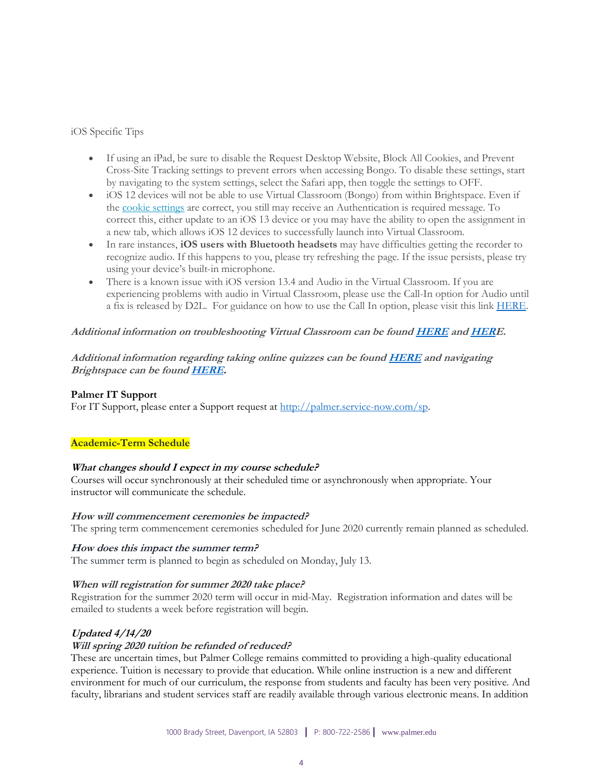iOS Specific Tips

- If using an iPad, be sure to disable the Request Desktop Website, Block All Cookies, and Prevent Cross-Site Tracking settings to prevent errors when accessing Bongo. To disable these settings, start by navigating to the system settings, select the Safari app, then toggle the settings to OFF.
- iOS 12 devices will not be able to use Virtual Classroom (Bongo) from within Brightspace. Even if the [cookie settings](https://bongolearn.zendesk.com/hc/articles/360009855033) are correct, you still may receive an Authentication is required message. To correct this, either update to an iOS 13 device or you may have the ability to open the assignment in a new tab, which allows iOS 12 devices to successfully launch into Virtual Classroom.
- In rare instances, **iOS users with Bluetooth headsets** may have difficulties getting the recorder to recognize audio. If this happens to you, please try refreshing the page. If the issue persists, please try using your device's built-in microphone.
- There is a known issue with iOS version 13.4 and Audio in the Virtual Classroom. If you are experiencing problems with audio in Virtual Classroom, please use the Call-In option for Audio until a fix is released by D2L. For guidance on how to use the Call In option, please visit this link [HERE.](https://bongolearn.zendesk.com/hc/en-us/articles/360012767354-Call-In-to-Join-Virtual-Classroom)

## **Additional information on troubleshooting Virtual Classroom can be foun[d HERE](https://palmer.service-now.com/sp?id=kb_article&sys_id=a5012963dba30810544004c2ca961939) an[d HERE](https://palmer.service-now.com/sp?id=kb_article&sys_id=b5a05523db230810544004c2ca9619e5).**

**Additional information regarding taking online quizzes can be foun[d HERE](https://www.youtube.com/watch?v=zzJgApt5YWg) and navigating Brightspace can be foun[d HERE.](https://www.youtube.com/watch?v=ysM2cc2zIPM&list=PLxHabmZzFY6mtggGZAitZ61kmpS-pMIaM)**

#### **Palmer IT Support**

For IT Support, please enter a Support request at [http://palmer.service-now.com/sp.](http://palmer.service-now.com/sp)

# **Academic-Term Schedule**

#### **What changes should I expect in my course schedule?**

Courses will occur synchronously at their scheduled time or asynchronously when appropriate. Your instructor will communicate the schedule.

#### **How will commencement ceremonies be impacted?**

The spring term commencement ceremonies scheduled for June 2020 currently remain planned as scheduled.

#### **How does this impact the summer term?**

The summer term is planned to begin as scheduled on Monday, July 13.

# **When will registration for summer 2020 take place?**

Registration for the summer 2020 term will occur in mid-May. Registration information and dates will be emailed to students a week before registration will begin.

# **Updated 4/14/20**

# **Will spring 2020 tuition be refunded of reduced?**

These are uncertain times, but Palmer College remains committed to providing a high-quality educational experience. Tuition is necessary to provide that education. While online instruction is a new and different environment for much of our curriculum, the response from students and faculty has been very positive. And faculty, librarians and student services staff are readily available through various electronic means. In addition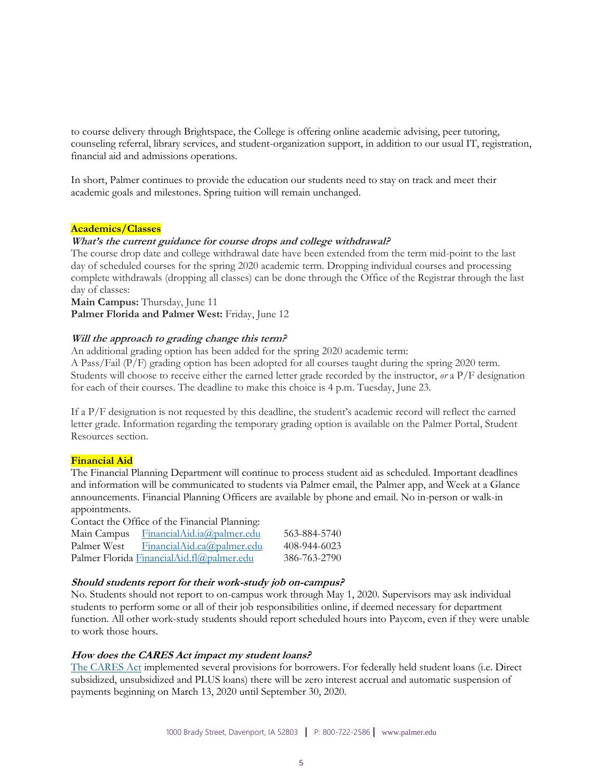to course delivery through Brightspace, the College is offering online academic advising, peer tutoring, counseling referral, library services, and student-organization support, in addition to our usual IT, registration, financial aid and admissions operations.

In short, Palmer continues to provide the education our students need to stay on track and meet their academic goals and milestones. Spring tuition will remain unchanged.

#### **Academics/Classes**

## **What's the current guidance for course drops and college withdrawal?**

The course drop date and college withdrawal date have been extended from the term mid-point to the last day of scheduled courses for the spring 2020 academic term. Dropping individual courses and processing complete withdrawals (dropping all classes) can be done through the Office of the Registrar through the last day of classes:

**Main Campus:** Thursday, June 11 **Palmer Florida and Palmer West:** Friday, June 12

## **Will the approach to grading change this term?**

An additional grading option has been added for the spring 2020 academic term:

A Pass/Fail (P/F) grading option has been adopted for all courses taught during the spring 2020 term. Students will choose to receive either the earned letter grade recorded by the instructor, *or* a P/F designation for each of their courses. The deadline to make this choice is 4 p.m. Tuesday, June 23.

If a P/F designation is not requested by this deadline, the student's academic record will reflect the earned letter grade. Information regarding the temporary grading option is available on the Palmer Portal, Student Resources section.

#### **Financial Aid**

The Financial Planning Department will continue to process student aid as scheduled. Important deadlines and information will be communicated to students via Palmer email, the Palmer app, and Week at a Glance announcements. Financial Planning Officers are available by phone and email. No in-person or walk-in appointments.

Contact the Office of the Financial Planning: Main Campus [FinancialAid.ia@palmer.edu](mailto:FinancialAid.ia@palmer.edu) 563-884-5740 Palmer West [FinancialAid.ca@palmer.edu](mailto:FinancialAid.ca@palmer.edu) 408-944-6023

# **Should students report for their work-study job on-campus?**

Palmer Florida [FinancialAid.fl@palmer.edu](mailto:FinancialAid.fl@palmer.edu) 386-763-2790

No. Students should not report to on-campus work through May 1, 2020. Supervisors may ask individual students to perform some or all of their job responsibilities online, if deemed necessary for department function. All other work-study students should report scheduled hours into Paycom, even if they were unable to work those hours.

#### **How does the CARES Act impact my student loans?**

[The CARES Act](https://www.congress.gov/bill/116th-congress/senate-bill/3548/text) implemented several provisions for borrowers. For federally held student loans (i.e. Direct subsidized, unsubsidized and PLUS loans) there will be zero interest accrual and automatic suspension of payments beginning on March 13, 2020 until September 30, 2020.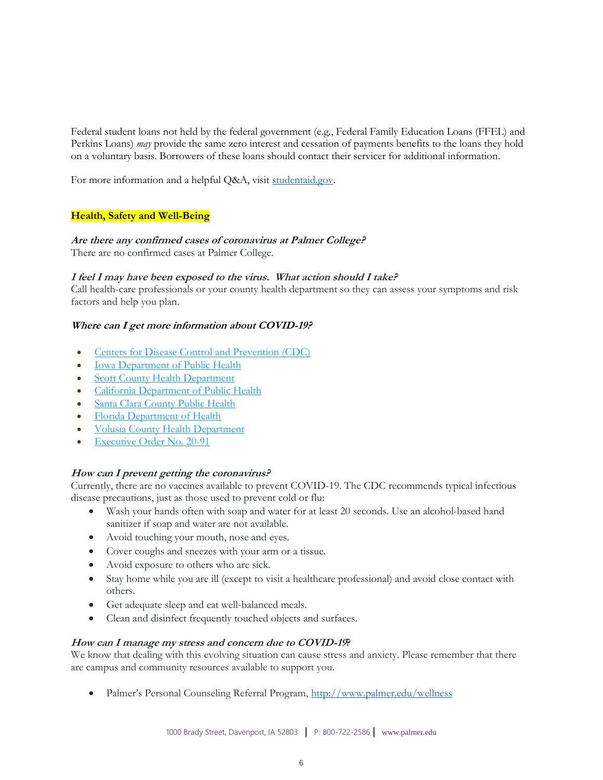Federal student loans not held by the federal government (e.g., Federal Family Education Loans (FFEL) and Perkins Loans) *may* provide the same zero interest and cessation of payments benefits to the loans they hold on a voluntary basis. Borrowers of these loans should contact their servicer for additional information.

For more information and a helpful Q&A, visit studentaid.gov.

## **Health, Safety and Well-Being**

## **Are there any confirmed cases of coronavirus at Palmer College?**

There are no confirmed cases at Palmer College.

## **I feel I may have been exposed to the virus. What action should I take?**

Call health-care professionals or your county health department so they can assess your symptoms and risk factors and help you plan.

## **Where can I get more information about COVID-19?**

- **[Centers for Disease Control and Prevention \(CDC\)](https://www.cdc.gov/coronavirus/2019-nCoV/index.html)**
- [Iowa Department of Public Health](https://idph.iowa.gov/)
- **[Scott County Health Department](https://www.scottcountyiowa.com/health)**
- [California Department of Public Health](https://www.cdph.ca.gov/Programs/CID/DCDC/Pages/Immunization/ncov2019.aspx)
- [Santa Clara County Public Health](https://www.sccgov.org/sites/phd/Pages/phd.aspx)
- [Florida Department of Health](http://www.floridahealth.gov/diseases-and-conditions/COVID-19/index.html)
- [Volusia County Health Department](http://volusia.floridahealth.gov/)
- [Executive Order No. 20-91](https://www.flgov.com/wp-content/uploads/orders/2020/EO_20-91.pdf)

# **How can I prevent getting the coronavirus?**

Currently, there are no vaccines available to prevent COVID-19. The CDC recommends typical infectious disease precautions, just as those used to prevent cold or flu:

- Wash your hands often with soap and water for at least 20 seconds. Use an alcohol-based hand sanitizer if soap and water are not available.
- Avoid touching your mouth, nose and eyes.
- Cover coughs and sneezes with your arm or a tissue.
- Avoid exposure to others who are sick.
- Stay home while you are ill (except to visit a healthcare professional) and avoid close contact with others.
- Get adequate sleep and eat well-balanced meals.
- Clean and disinfect frequently touched objects and surfaces.

#### **How can I manage my stress and concern due to COVID-19?**

We know that dealing with this evolving situation can cause stress and anxiety. Please remember that there are campus and community resources available to support you.

Palmer's Personal Counseling Referral Program, <http://www.palmer.edu/wellness>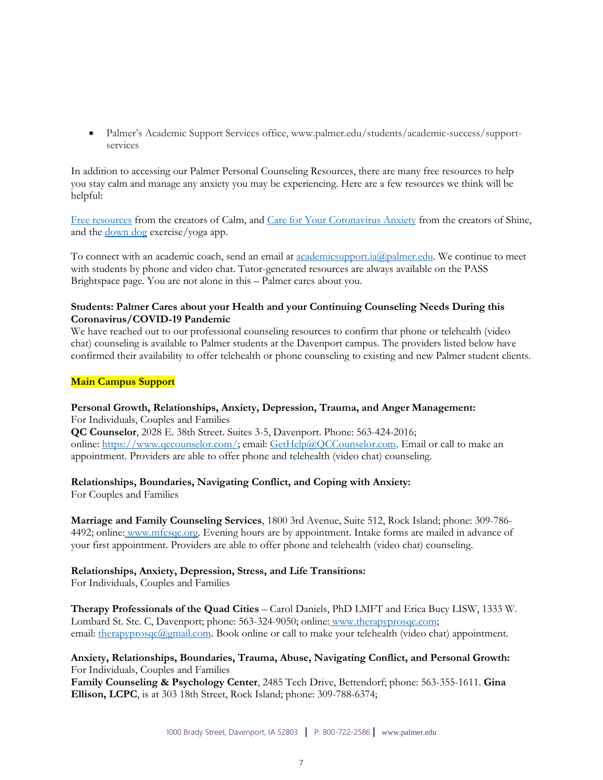• Palmer's Academic Support Services office, www.palmer.edu/students/academic-success/supportservices

In addition to accessing our Palmer Personal Counseling Resources, there are many free resources to help you stay calm and manage any anxiety you may be experiencing. Here are a few resources we think will be helpful:

[Free resources](https://www.calm.com/blog/free-resources) from the creators of Calm, and [Care for Your Coronavirus Anxiety](https://www.virusanxiety.com/) from the creators of Shine, and the <u>[down dog](https://www.downdogapp.com/)</u> exercise/yoga app.

To connect with an academic coach, send an email at [academicsupport.ia@palmer.edu.](mailto:academicsupport.ia@palmer.edu?Subject=Academic%20Support%2FIowa%20campus) We continue to meet with students by phone and video chat. Tutor-generated resources are always available on the PASS Brightspace page. You are not alone in this – Palmer cares about you.

## **Students: Palmer Cares about your Health and your Continuing Counseling Needs During this Coronavirus/COVID-19 Pandemic**

We have reached out to our professional counseling resources to confirm that phone or telehealth (video chat) counseling is available to Palmer students at the Davenport campus. The providers listed below have confirmed their availability to offer telehealth or phone counseling to existing and new Palmer student clients.

## **Main Campus Support**

#### **Personal Growth, Relationships, Anxiety, Depression, Trauma, and Anger Management:** For Individuals, Couples and Families

**QC Counselor**, 2028 E. 38th Street. Suites 3-5, Davenport. Phone: 563-424-2016; online: [https://www.qccounselor.com/;](https://www.qccounselor.com/) email: [GetHelp@QCCounselor.com.](mailto:GetHelp@QCCounselor.com) Email or call to make an appointment. Providers are able to offer phone and telehealth (video chat) counseling.

# **Relationships, Boundaries, Navigating Conflict, and Coping with Anxiety:**

For Couples and Families

**Marriage and Family Counseling Services**, 1800 3rd Avenue, Suite 512, Rock Island; phone: 309-786- 4492; online: [www.mfcsqc.org.](https://www.mfcsqc.org/) Evening hours are by appointment. Intake forms are mailed in advance of your first appointment. Providers are able to offer phone and telehealth (video chat) counseling.

# **Relationships, Anxiety, Depression, Stress, and Life Transitions:**

For Individuals, Couples and Families

**Therapy Professionals of the Quad Cities** – Carol Daniels, PhD LMFT and Erica Bucy LISW, 1333 W. Lombard St. Ste. C, Davenport; phone: 563-324-9050; online: www.therapyprosqc.com; email: [therapyprosqc@gmail.com.](file:///C:/Users/jillian.mccleary/AppData/Local/Microsoft/Windows/INetCache/Content.Outlook/Q85XR6FU/therapyprosqc@gmail.com) Book online or call to make your telehealth (video chat) appointment.

## **Anxiety, Relationships, Boundaries, Trauma, Abuse, Navigating Conflict, and Personal Growth:** For Individuals, Couples and Families

**Family Counseling & Psychology Center**, 2485 Tech Drive, Bettendorf; phone: 563-355-1611. **Gina Ellison, LCPC**, is at 303 18th Street, Rock Island; phone: 309-788-6374;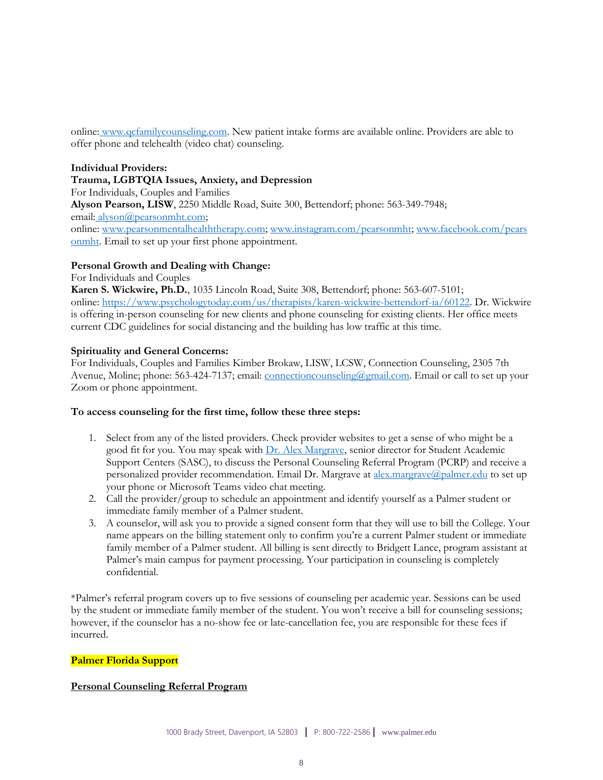online: [www.qcfamilycounseling.com.](http://www.qcfamilycounseling.com/) New patient intake forms are available online. Providers are able to offer phone and telehealth (video chat) counseling.

# **Individual Providers:**

**Trauma, LGBTQIA Issues, Anxiety, and Depression** For Individuals, Couples and Families **Alyson Pearson, LISW**, 2250 Middle Road, Suite 300, Bettendorf; phone: 563-349-7948; email: [alyson@pearsonmht.com;](mailto:alyson@pearsonmht.com) online: [www.pearsonmentalhealththerapy.com;](http://www.pearsonmentalhealththerapy.com/) [www.instagram.com/pearsonmht;](https://www.instagram.com/pearsonmht/) [www.facebook.com/pears](https://www.facebook.com/PearsonMHT/) [onmht.](https://www.facebook.com/PearsonMHT/) Email to set up your first phone appointment.

# **Personal Growth and Dealing with Change:**

For Individuals and Couples **Karen S. Wickwire, Ph.D.**, 1035 Lincoln Road, Suite 308, Bettendorf; phone: 563-607-5101; online: [https://www.psychologytoday.com/us/therapists/karen-wickwire-bettendorf-ia/60122.](https://www.psychologytoday.com/us/therapists/karen-wickwire-bettendorf-ia/60122) Dr. Wickwire is offering in-person counseling for new clients and phone counseling for existing clients. Her office meets current CDC guidelines for social distancing and the building has low traffic at this time.

# **Spirituality and General Concerns:**

For Individuals, Couples and Families Kimber Brokaw, LISW, LCSW, Connection Counseling, 2305 7th Avenue, Moline; phone: 563-424-7137; email: *connectioncounseling@gmail.com*. Email or call to set up your Zoom or phone appointment.

# **To access counseling for the first time, follow these three steps:**

- 1. Select from any of the listed providers. Check provider websites to get a sense of who might be a good fit for you. You may speak with [Dr. Alex Margrave,](mailto:alex.margrave@palmer.edu) senior director for Student Academic Support Centers (SASC), to discuss the Personal Counseling Referral Program (PCRP) and receive a personalized provider recommendation. Email Dr. Margrave at [alex.margrave@palmer.edu](mailto:alex.margrave@palmer.edu) to set up your phone or Microsoft Teams video chat meeting.
- 2. Call the provider/group to schedule an appointment and identify yourself as a Palmer student or immediate family member of a Palmer student.
- 3. A counselor, will ask you to provide a signed consent form that they will use to bill the College. Your name appears on the billing statement only to confirm you're a current Palmer student or immediate family member of a Palmer student. All billing is sent directly to Bridgett Lance, program assistant at Palmer's main campus for payment processing. Your participation in counseling is completely confidential.

\*Palmer's referral program covers up to five sessions of counseling per academic year. Sessions can be used by the student or immediate family member of the student. You won't receive a bill for counseling sessions; however, if the counselor has a no-show fee or late-cancellation fee, you are responsible for these fees if incurred.

# **Palmer Florida Support**

# **Personal Counseling Referral Program**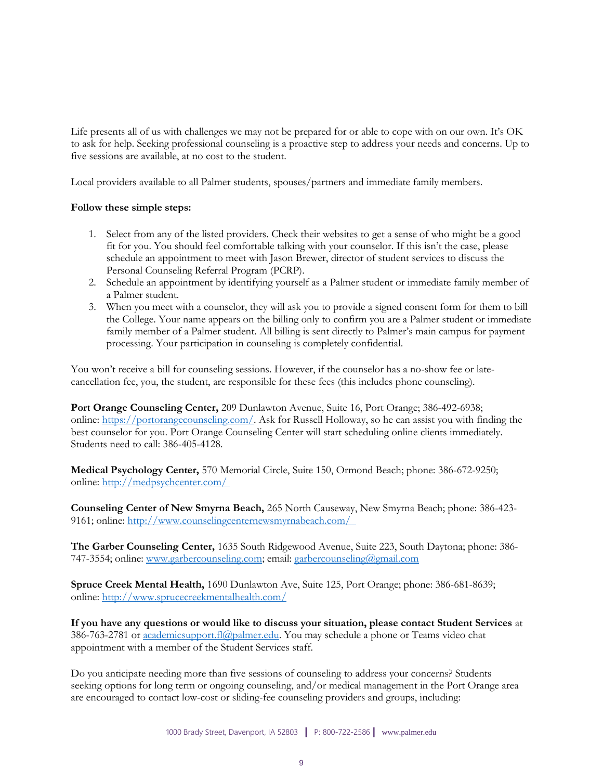Life presents all of us with challenges we may not be prepared for or able to cope with on our own. It's OK to ask for help. Seeking professional counseling is a proactive step to address your needs and concerns. Up to five sessions are available, at no cost to the student.

Local providers available to all Palmer students, spouses/partners and immediate family members.

## **Follow these simple steps:**

- 1. Select from any of the listed providers. Check their websites to get a sense of who might be a good fit for you. You should feel comfortable talking with your counselor. If this isn't the case, please schedule an appointment to meet with Jason Brewer, director of student services to discuss the Personal Counseling Referral Program (PCRP).
- 2. Schedule an appointment by identifying yourself as a Palmer student or immediate family member of a Palmer student.
- 3. When you meet with a counselor, they will ask you to provide a signed consent form for them to bill the College. Your name appears on the billing only to confirm you are a Palmer student or immediate family member of a Palmer student. All billing is sent directly to Palmer's main campus for payment processing. Your participation in counseling is completely confidential.

You won't receive a bill for counseling sessions. However, if the counselor has a no-show fee or latecancellation fee, you, the student, are responsible for these fees (this includes phone counseling).

**Port Orange Counseling Center,** 209 Dunlawton Avenue, Suite 16, Port Orange; 386-492-6938; online: [https://portorangecounseling.com/.](https://portorangecounseling.com/) Ask for Russell Holloway, so he can assist you with finding the best counselor for you. Port Orange Counseling Center will start scheduling online clients immediately. Students need to call: 386-405-4128.

**Medical Psychology Center,** 570 Memorial Circle, Suite 150, Ormond Beach; phone: 386-672-9250; online: <http://medpsychcenter.com/>

**Counseling Center of New Smyrna Beach,** 265 North Causeway, New Smyrna Beach; phone: 386-423- 9161; online: <http://www.counselingcenternewsmyrnabeach.com/>

**The Garber Counseling Center,** 1635 South Ridgewood Avenue, Suite 223, South Daytona; phone: 386- 747-3554; online: [www.garbercounseling.com;](http://www.garbercounseling.com/) email: [garbercounseling@gmail.com](mailto:garbercounseling@gmail.com) 

**Spruce Creek Mental Health,** 1690 Dunlawton Ave, Suite 125, Port Orange; phone: 386-681-8639; online: <http://www.sprucecreekmentalhealth.com/>

**If you have any questions or would like to discuss your situation, please contact Student Services** at 386-763-2781 or [academicsupport.fl@palmer.edu.](mailto:academicsupport.fl@palmer.edu) You may schedule a phone or Teams video chat appointment with a member of the Student Services staff.

Do you anticipate needing more than five sessions of counseling to address your concerns? Students seeking options for long term or ongoing counseling, and/or medical management in the Port Orange area are encouraged to contact low-cost or sliding-fee counseling providers and groups, including: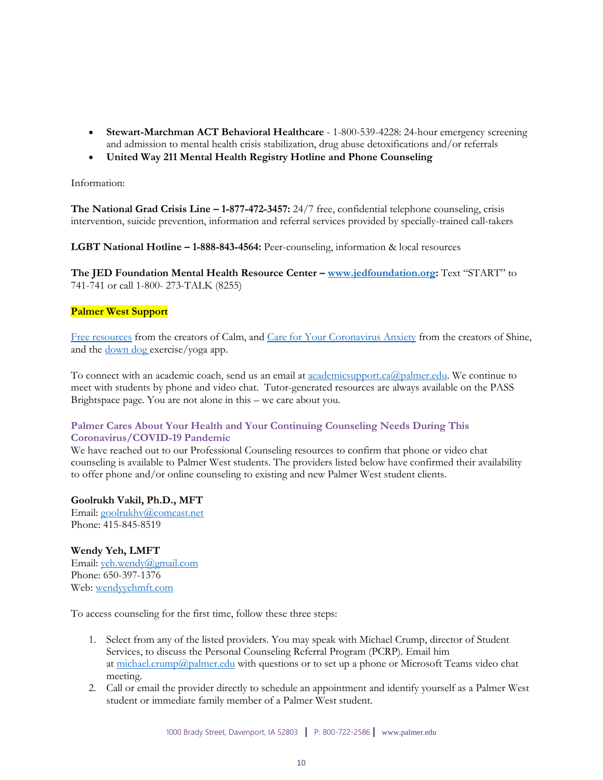- **Stewart-Marchman ACT Behavioral Healthcare** 1-800-539-4228: 24-hour emergency screening and admission to mental health crisis stabilization, drug abuse detoxifications and/or referrals
- **United Way 211 Mental Health Registry Hotline and Phone Counseling**

Information:

**The National Grad Crisis Line – 1-877-472-3457:** 24/7 free, confidential telephone counseling, crisis intervention, suicide prevention, information and referral services provided by specially-trained call-takers

**LGBT National Hotline – 1-888-843-4564:** Peer-counseling, information & local resources

**The JED Foundation Mental Health Resource Center – [www.jedfoundation.org:](https://www.jedfoundation.org/)** Text "START" to 741-741 or call 1-800- 273-TALK (8255)

## **Palmer West Support**

[Free resources](https://www.calm.com/blog/free-resources) from the creators of Calm, and [Care for Your Coronavirus Anxiety](https://www.virusanxiety.com/) from the creators of Shine, and the <u>[down dog](https://www.downdogapp.com/)</u> exercise/yoga app.

To connect with an academic coach, send us an email at <u>academicsupport.ca@palmer.edu</u>. We continue to meet with students by phone and video chat. Tutor-generated resources are always available on the PASS Brightspace page. You are not alone in this – we care about you.

# **Palmer Cares About Your Health and Your Continuing Counseling Needs During This Coronavirus/COVID-19 Pandemic**

We have reached out to our Professional Counseling resources to confirm that phone or video chat counseling is available to Palmer West students. The providers listed below have confirmed their availability to offer phone and/or online counseling to existing and new Palmer West student clients.

#### **Goolrukh Vakil, Ph.D., MFT**

Email: [goolrukhv@comcast.net](mailto:goolrukhv@comcast.net) Phone: 415-845-8519

# **Wendy Yeh, LMFT**

Email: [yeh.wendy@gmail.com](mailto:yeh.wendy@gmail.com) Phone: 650-397-1376 Web: [wendyyehmft.com](https://wendyyehmft.com/)

To access counseling for the first time, follow these three steps:

- 1. Select from any of the listed providers. You may speak with Michael Crump, director of Student Services, to discuss the Personal Counseling Referral Program (PCRP). Email him at  $\frac{\text{michael.crump}(a_{\text{palmer.edu}})}{a_{\text{palmer.edu}}}\$  with questions or to set up a phone or Microsoft Teams video chat meeting.
- 2. Call or email the provider directly to schedule an appointment and identify yourself as a Palmer West student or immediate family member of a Palmer West student.